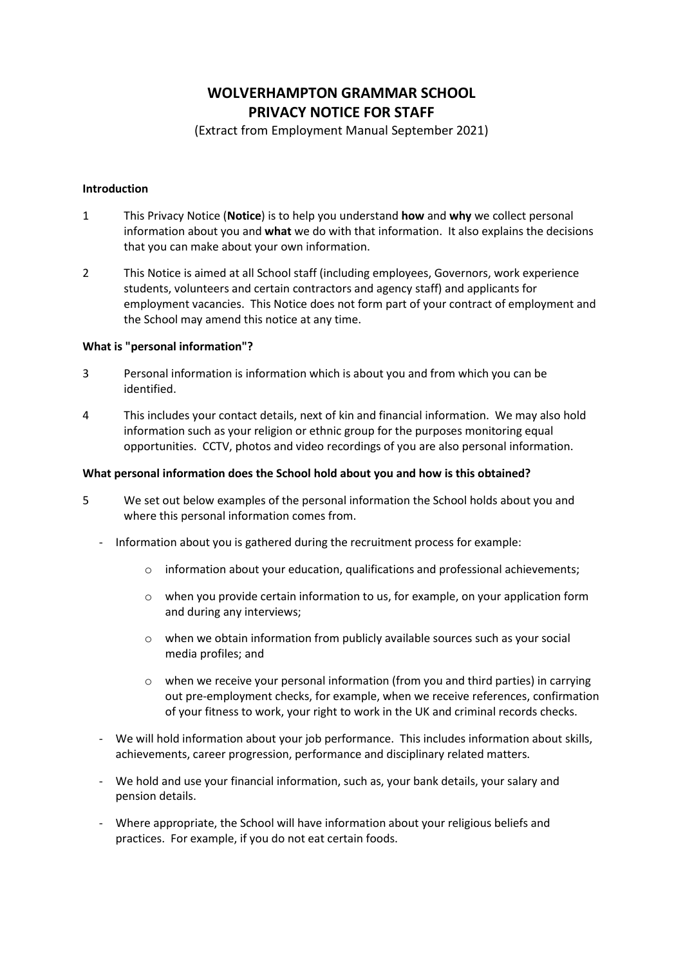# **WOLVERHAMPTON GRAMMAR SCHOOL PRIVACY NOTICE FOR STAFF**

(Extract from Employment Manual September 2021)

## **Introduction**

- 1 This Privacy Notice (**Notice**) is to help you understand **how** and **why** we collect personal information about you and **what** we do with that information. It also explains the decisions that you can make about your own information.
- 2 This Notice is aimed at all School staff (including employees, Governors, work experience students, volunteers and certain contractors and agency staff) and applicants for employment vacancies. This Notice does not form part of your contract of employment and the School may amend this notice at any time.

# **What is "personal information"?**

- 3 Personal information is information which is about you and from which you can be identified.
- 4 This includes your contact details, next of kin and financial information. We may also hold information such as your religion or ethnic group for the purposes monitoring equal opportunities. CCTV, photos and video recordings of you are also personal information.

## **What personal information does the School hold about you and how is this obtained?**

- 5 We set out below examples of the personal information the School holds about you and where this personal information comes from.
	- Information about you is gathered during the recruitment process for example:
		- $\circ$  information about your education, qualifications and professional achievements;
		- o when you provide certain information to us, for example, on your application form and during any interviews;
		- o when we obtain information from publicly available sources such as your social media profiles; and
		- $\circ$  when we receive your personal information (from you and third parties) in carrying out pre-employment checks, for example, when we receive references, confirmation of your fitness to work, your right to work in the UK and criminal records checks.
	- We will hold information about your job performance. This includes information about skills, achievements, career progression, performance and disciplinary related matters.
	- We hold and use your financial information, such as, your bank details, your salary and pension details.
	- Where appropriate, the School will have information about your religious beliefs and practices. For example, if you do not eat certain foods.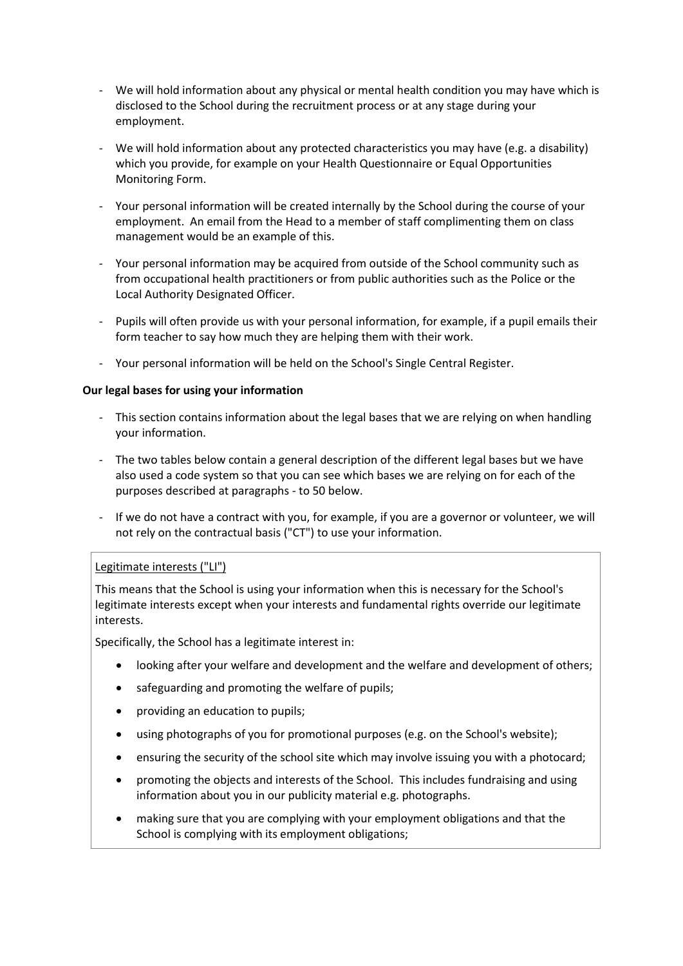- We will hold information about any physical or mental health condition you may have which is disclosed to the School during the recruitment process or at any stage during your employment.
- We will hold information about any protected characteristics you may have (e.g. a disability) which you provide, for example on your Health Questionnaire or Equal Opportunities Monitoring Form.
- Your personal information will be created internally by the School during the course of your employment. An email from the Head to a member of staff complimenting them on class management would be an example of this.
- Your personal information may be acquired from outside of the School community such as from occupational health practitioners or from public authorities such as the Police or the Local Authority Designated Officer.
- Pupils will often provide us with your personal information, for example, if a pupil emails their form teacher to say how much they are helping them with their work.
- Your personal information will be held on the School's Single Central Register.

# **Our legal bases for using your information**

- This section contains information about the legal bases that we are relying on when handling your information.
- The two tables below contain a general description of the different legal bases but we have also used a code system so that you can see which bases we are relying on for each of the purposes described at paragraph[s -](#page-3-0) to 50 below.
- If we do not have a contract with you, for example, if you are a governor or volunteer, we will not rely on the contractual basis ("CT") to use your information.

# Legitimate interests ("LI")

This means that the School is using your information when this is necessary for the School's legitimate interests except when your interests and fundamental rights override our legitimate interests.

Specifically, the School has a legitimate interest in:

- looking after your welfare and development and the welfare and development of others;
- safeguarding and promoting the welfare of pupils;
- providing an education to pupils;
- using photographs of you for promotional purposes (e.g. on the School's website);
- ensuring the security of the school site which may involve issuing you with a photocard;
- promoting the objects and interests of the School. This includes fundraising and using information about you in our publicity material e.g. photographs.
- making sure that you are complying with your employment obligations and that the School is complying with its employment obligations;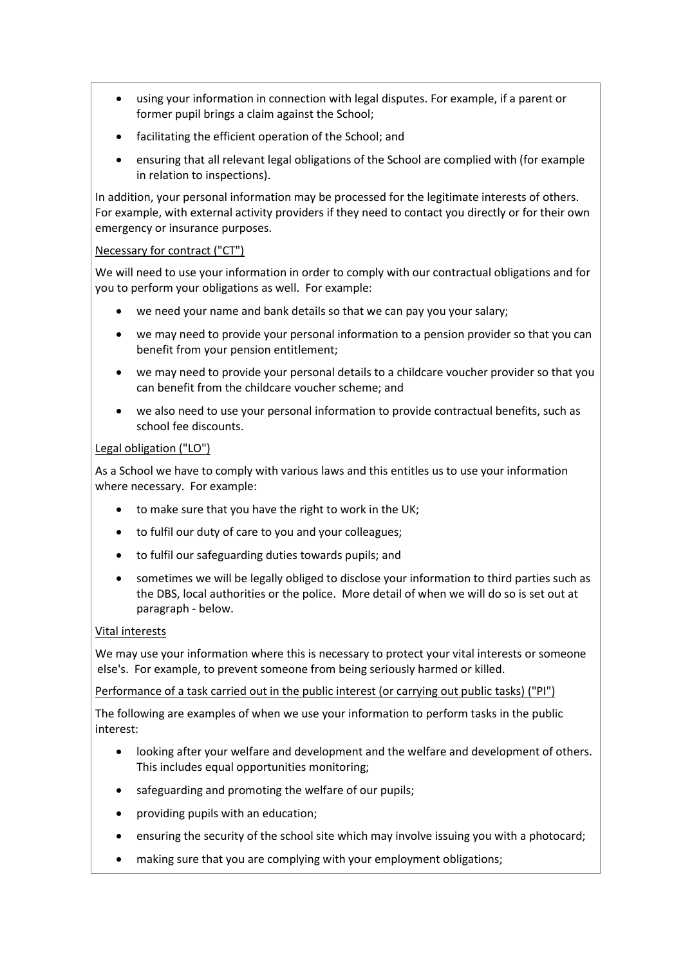- using your information in connection with legal disputes. For example, if a parent or former pupil brings a claim against the School;
- facilitating the efficient operation of the School; and
- ensuring that all relevant legal obligations of the School are complied with (for example in relation to inspections).

In addition, your personal information may be processed for the legitimate interests of others. For example, with external activity providers if they need to contact you directly or for their own emergency or insurance purposes.

# Necessary for contract ("CT")

We will need to use your information in order to comply with our contractual obligations and for you to perform your obligations as well. For example:

- we need your name and bank details so that we can pay you your salary;
- we may need to provide your personal information to a pension provider so that you can benefit from your pension entitlement;
- we may need to provide your personal details to a childcare voucher provider so that you can benefit from the childcare voucher scheme; and
- we also need to use your personal information to provide contractual benefits, such as school fee discounts.

# Legal obligation ("LO")

As a School we have to comply with various laws and this entitles us to use your information where necessary. For example:

- to make sure that you have the right to work in the UK;
- to fulfil our duty of care to you and your colleagues;
- to fulfil our safeguarding duties towards pupils; and
- sometimes we will be legally obliged to disclose your information to third parties such as the DBS, local authorities or the police. More detail of when we will do so is set out at paragrap[h -](#page-5-0) below.

# Vital interests

We may use your information where this is necessary to protect your vital interests or someone else's. For example, to prevent someone from being seriously harmed or killed.

Performance of a task carried out in the public interest (or carrying out public tasks) ("PI")

The following are examples of when we use your information to perform tasks in the public interest:

- looking after your welfare and development and the welfare and development of others. This includes equal opportunities monitoring;
- safeguarding and promoting the welfare of our pupils;
- providing pupils with an education;
- ensuring the security of the school site which may involve issuing you with a photocard;
- making sure that you are complying with your employment obligations;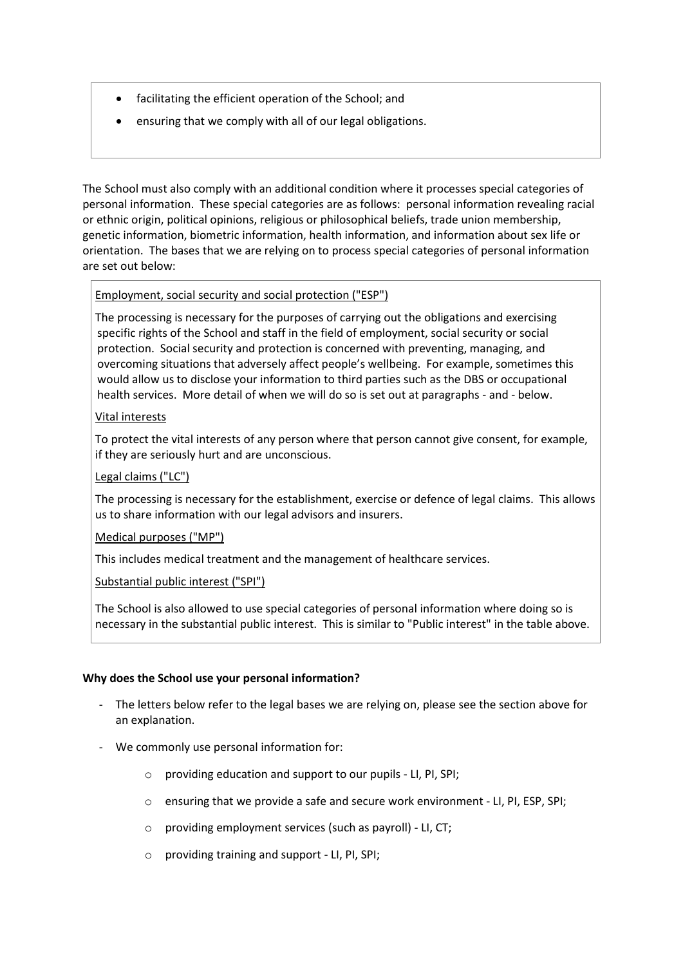- facilitating the efficient operation of the School; and
- ensuring that we comply with all of our legal obligations.

The School must also comply with an additional condition where it processes special categories of personal information. These special categories are as follows: personal information revealing racial or ethnic origin, political opinions, religious or philosophical beliefs, trade union membership, genetic information, biometric information, health information, and information about sex life or orientation. The bases that we are relying on to process special categories of personal information are set out below:

# Employment, social security and social protection ("ESP")

The processing is necessary for the purposes of carrying out the obligations and exercising specific rights of the School and staff in the field of employment, social security or social protection. Social security and protection is concerned with preventing, managing, and overcoming situations that adversely affect people's wellbeing. For example, sometimes this would allow us to disclose your information to third parties such as the DBS or occupational health services. More detail of when we will do so is set out at paragraphs [-](#page-5-0) an[d -](#page-6-0) below.

# Vital interests

To protect the vital interests of any person where that person cannot give consent, for example, if they are seriously hurt and are unconscious.

Legal claims ("LC")

The processing is necessary for the establishment, exercise or defence of legal claims. This allows us to share information with our legal advisors and insurers.

Medical purposes ("MP")

This includes medical treatment and the management of healthcare services.

Substantial public interest ("SPI")

The School is also allowed to use special categories of personal information where doing so is necessary in the substantial public interest. This is similar to "Public interest" in the table above.

## **Why does the School use your personal information?**

- <span id="page-3-0"></span>The letters below refer to the legal bases we are relying on, please see the section above for an explanation.
- We commonly use personal information for:
	- o providing education and support to our pupils LI, PI, SPI;
	- o ensuring that we provide a safe and secure work environment LI, PI, ESP, SPI;
	- o providing employment services (such as payroll) LI, CT;
	- o providing training and support LI, PI, SPI;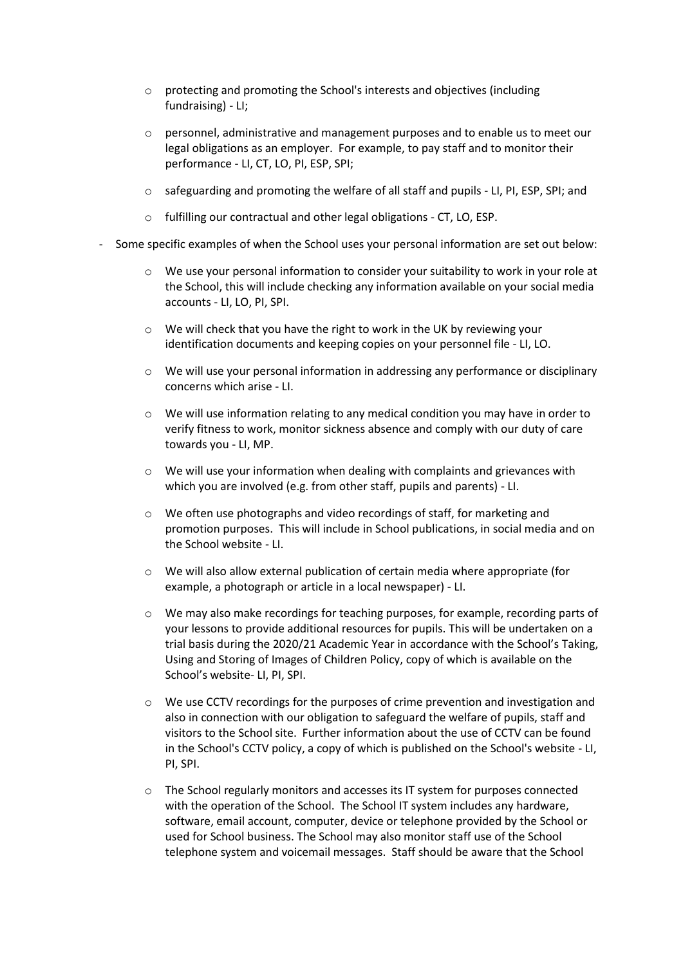- o protecting and promoting the School's interests and objectives (including fundraising) - LI;
- o personnel, administrative and management purposes and to enable us to meet our legal obligations as an employer. For example, to pay staff and to monitor their performance - LI, CT, LO, PI, ESP, SPI;
- o safeguarding and promoting the welfare of all staff and pupils LI, PI, ESP, SPI; and
- o fulfilling our contractual and other legal obligations CT, LO, ESP.
- Some specific examples of when the School uses your personal information are set out below:
	- o We use your personal information to consider your suitability to work in your role at the School, this will include checking any information available on your social media accounts - LI, LO, PI, SPI.
	- $\circ$  We will check that you have the right to work in the UK by reviewing your identification documents and keeping copies on your personnel file - LI, LO.
	- $\circ$  We will use your personal information in addressing any performance or disciplinary concerns which arise - LI.
	- $\circ$  We will use information relating to any medical condition you may have in order to verify fitness to work, monitor sickness absence and comply with our duty of care towards you - LI, MP.
	- $\circ$  We will use your information when dealing with complaints and grievances with which you are involved (e.g. from other staff, pupils and parents) - LI.
	- o We often use photographs and video recordings of staff, for marketing and promotion purposes. This will include in School publications, in social media and on the School website - LI.
	- $\circ$  We will also allow external publication of certain media where appropriate (for example, a photograph or article in a local newspaper) - LI.
	- o We may also make recordings for teaching purposes, for example, recording parts of your lessons to provide additional resources for pupils. This will be undertaken on a trial basis during the 2020/21 Academic Year in accordance with the School's Taking, Using and Storing of Images of Children Policy, copy of which is available on the School's website- LI, PI, SPI.
	- o We use CCTV recordings for the purposes of crime prevention and investigation and also in connection with our obligation to safeguard the welfare of pupils, staff and visitors to the School site. Further information about the use of CCTV can be found in the School's CCTV policy, a copy of which is published on the School's website - LI, PI, SPI.
	- o The School regularly monitors and accesses its IT system for purposes connected with the operation of the School. The School IT system includes any hardware, software, email account, computer, device or telephone provided by the School or used for School business. The School may also monitor staff use of the School telephone system and voicemail messages. Staff should be aware that the School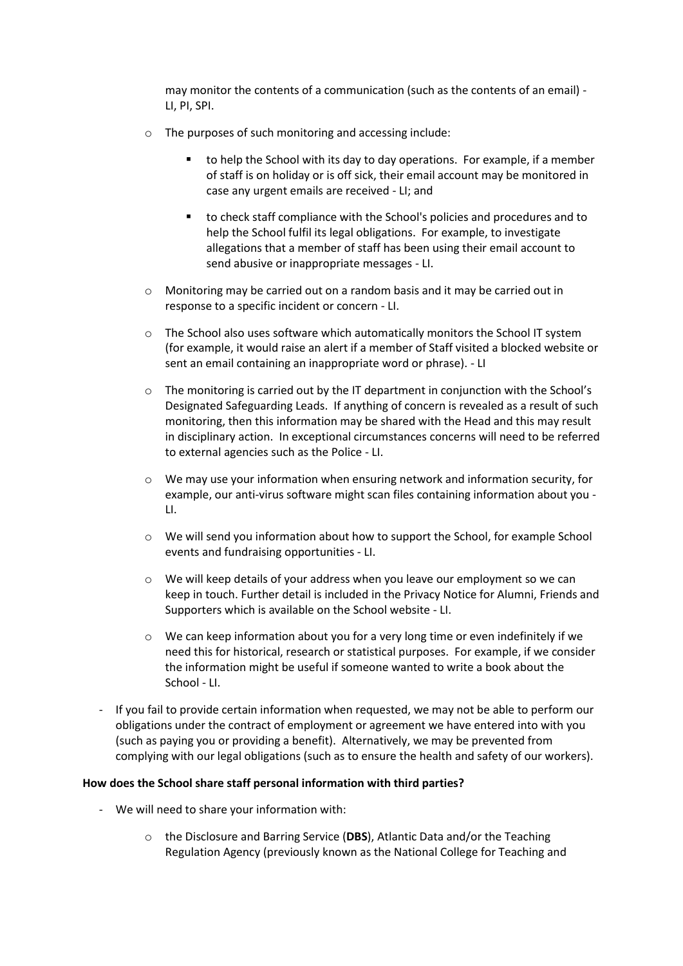may monitor the contents of a communication (such as the contents of an email) - LI, PI, SPI.

- o The purposes of such monitoring and accessing include:
	- to help the School with its day to day operations. For example, if a member of staff is on holiday or is off sick, their email account may be monitored in case any urgent emails are received - LI; and
	- to check staff compliance with the School's policies and procedures and to help the School fulfil its legal obligations. For example, to investigate allegations that a member of staff has been using their email account to send abusive or inappropriate messages - LI.
- o Monitoring may be carried out on a random basis and it may be carried out in response to a specific incident or concern - LI.
- $\circ$  The School also uses software which automatically monitors the School IT system (for example, it would raise an alert if a member of Staff visited a blocked website or sent an email containing an inappropriate word or phrase). - LI
- o The monitoring is carried out by the IT department in conjunction with the School's Designated Safeguarding Leads. If anything of concern is revealed as a result of such monitoring, then this information may be shared with the Head and this may result in disciplinary action. In exceptional circumstances concerns will need to be referred to external agencies such as the Police - LI.
- $\circ$  We may use your information when ensuring network and information security, for example, our anti-virus software might scan files containing information about you - LI.
- o We will send you information about how to support the School, for example School events and fundraising opportunities - LI.
- $\circ$  We will keep details of your address when you leave our employment so we can keep in touch. Further detail is included in the Privacy Notice for Alumni, Friends and Supporters which is available on the School website - LI.
- $\circ$  We can keep information about you for a very long time or even indefinitely if we need this for historical, research or statistical purposes. For example, if we consider the information might be useful if someone wanted to write a book about the School - LI.
- If you fail to provide certain information when requested, we may not be able to perform our obligations under the contract of employment or agreement we have entered into with you (such as paying you or providing a benefit). Alternatively, we may be prevented from complying with our legal obligations (such as to ensure the health and safety of our workers).

## **How does the School share staff personal information with third parties?**

- <span id="page-5-0"></span>- We will need to share your information with:
	- o the Disclosure and Barring Service (**DBS**), Atlantic Data and/or the Teaching Regulation Agency (previously known as the National College for Teaching and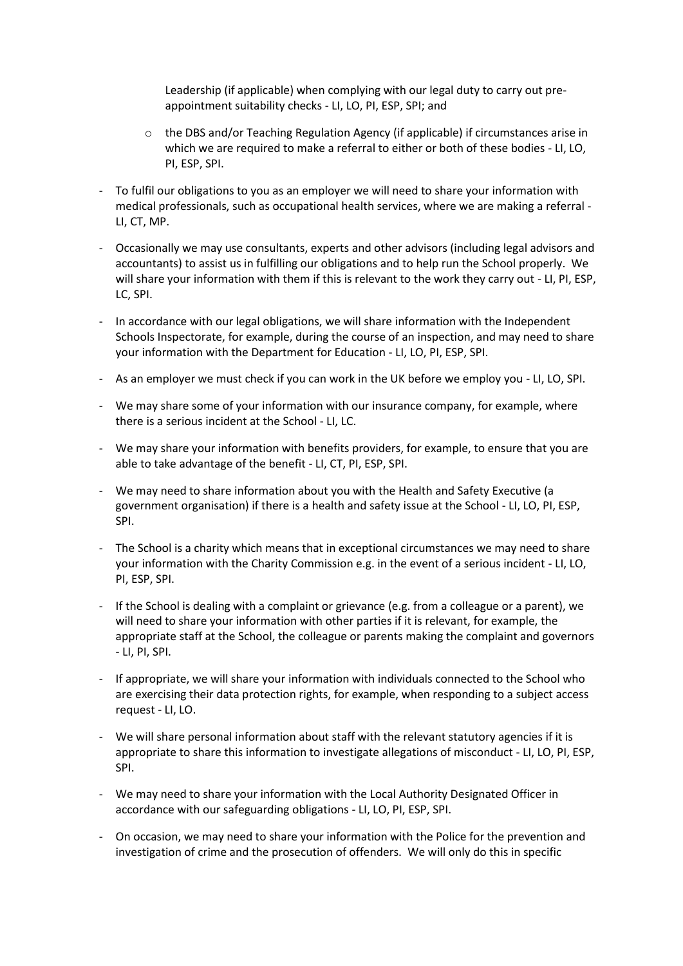Leadership (if applicable) when complying with our legal duty to carry out preappointment suitability checks - LI, LO, PI, ESP, SPI; and

- o the DBS and/or Teaching Regulation Agency (if applicable) if circumstances arise in which we are required to make a referral to either or both of these bodies - LI, LO, PI, ESP, SPI.
- <span id="page-6-0"></span>To fulfil our obligations to you as an employer we will need to share your information with medical professionals, such as occupational health services, where we are making a referral - LI, CT, MP.
- Occasionally we may use consultants, experts and other advisors (including legal advisors and accountants) to assist us in fulfilling our obligations and to help run the School properly. We will share your information with them if this is relevant to the work they carry out - LI, PI, ESP, LC, SPI.
- In accordance with our legal obligations, we will share information with the Independent Schools Inspectorate, for example, during the course of an inspection, and may need to share your information with the Department for Education - LI, LO, PI, ESP, SPI.
- As an employer we must check if you can work in the UK before we employ you LI, LO, SPI.
- We may share some of your information with our insurance company, for example, where there is a serious incident at the School - LI, LC.
- We may share your information with benefits providers, for example, to ensure that you are able to take advantage of the benefit - LI, CT, PI, ESP, SPI.
- We may need to share information about you with the Health and Safety Executive (a government organisation) if there is a health and safety issue at the School - LI, LO, PI, ESP, SPI.
- The School is a charity which means that in exceptional circumstances we may need to share your information with the Charity Commission e.g. in the event of a serious incident - LI, LO, PI, ESP, SPI.
- If the School is dealing with a complaint or grievance (e.g. from a colleague or a parent), we will need to share your information with other parties if it is relevant, for example, the appropriate staff at the School, the colleague or parents making the complaint and governors - LI, PI, SPI.
- If appropriate, we will share your information with individuals connected to the School who are exercising their data protection rights, for example, when responding to a subject access request - LI, LO.
- We will share personal information about staff with the relevant statutory agencies if it is appropriate to share this information to investigate allegations of misconduct - LI, LO, PI, ESP, SPI.
- We may need to share your information with the Local Authority Designated Officer in accordance with our safeguarding obligations - LI, LO, PI, ESP, SPI.
- On occasion, we may need to share your information with the Police for the prevention and investigation of crime and the prosecution of offenders. We will only do this in specific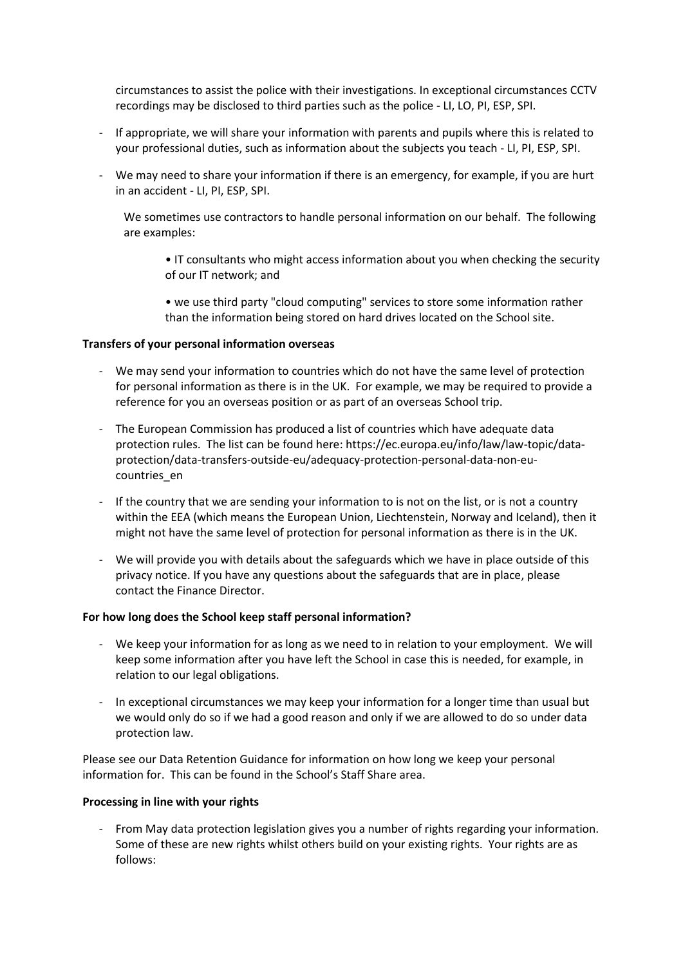circumstances to assist the police with their investigations. In exceptional circumstances CCTV recordings may be disclosed to third parties such as the police - LI, LO, PI, ESP, SPI.

- If appropriate, we will share your information with parents and pupils where this is related to your professional duties, such as information about the subjects you teach - LI, PI, ESP, SPI.
- We may need to share your information if there is an emergency, for example, if you are hurt in an accident - LI, PI, ESP, SPI.

We sometimes use contractors to handle personal information on our behalf. The following are examples:

- IT consultants who might access information about you when checking the security of our IT network; and
- we use third party "cloud computing" services to store some information rather than the information being stored on hard drives located on the School site.

#### **Transfers of your personal information overseas**

- We may send your information to countries which do not have the same level of protection for personal information as there is in the UK. For example, we may be required to provide a reference for you an overseas position or as part of an overseas School trip.
- The European Commission has produced a list of countries which have adequate data protection rules. The list can be found here: https://ec.europa.eu/info/law/law-topic/dataprotection/data-transfers-outside-eu/adequacy-protection-personal-data-non-eucountries\_en
- If the country that we are sending your information to is not on the list, or is not a country within the EEA (which means the European Union, Liechtenstein, Norway and Iceland), then it might not have the same level of protection for personal information as there is in the UK.
- We will provide you with details about the safeguards which we have in place outside of this privacy notice. If you have any questions about the safeguards that are in place, please contact the Finance Director.

## **For how long does the School keep staff personal information?**

- We keep your information for as long as we need to in relation to your employment. We will keep some information after you have left the School in case this is needed, for example, in relation to our legal obligations.
- In exceptional circumstances we may keep your information for a longer time than usual but we would only do so if we had a good reason and only if we are allowed to do so under data protection law.

Please see our Data Retention Guidance for information on how long we keep your personal information for. This can be found in the School's Staff Share area.

## **Processing in line with your rights**

- From May data protection legislation gives you a number of rights regarding your information. Some of these are new rights whilst others build on your existing rights. Your rights are as follows: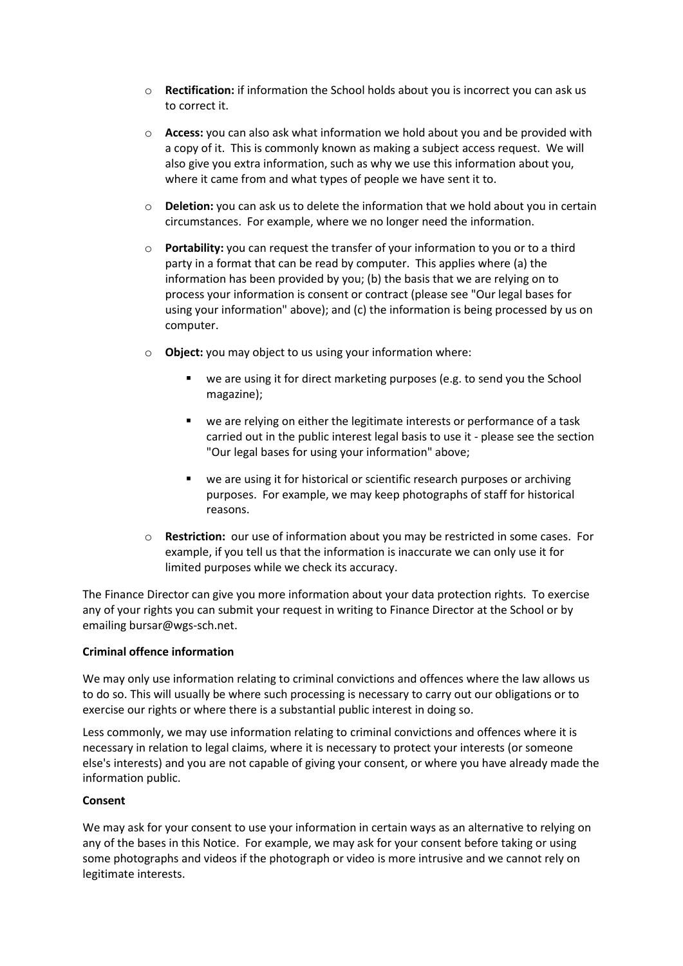- o **Rectification:** if information the School holds about you is incorrect you can ask us to correct it.
- o **Access:** you can also ask what information we hold about you and be provided with a copy of it. This is commonly known as making a subject access request. We will also give you extra information, such as why we use this information about you, where it came from and what types of people we have sent it to.
- o **Deletion:** you can ask us to delete the information that we hold about you in certain circumstances. For example, where we no longer need the information.
- o **Portability:** you can request the transfer of your information to you or to a third party in a format that can be read by computer. This applies where (a) the information has been provided by you; (b) the basis that we are relying on to process your information is consent or contract (please see "Our legal bases for using your information" above); and (c) the information is being processed by us on computer.
- o **Object:** you may object to us using your information where:
	- we are using it for direct marketing purposes (e.g. to send you the School magazine);
	- we are relying on either the legitimate interests or performance of a task carried out in the public interest legal basis to use it - please see the section "Our legal bases for using your information" above;
	- we are using it for historical or scientific research purposes or archiving purposes. For example, we may keep photographs of staff for historical reasons.
- **Restriction:** our use of information about you may be restricted in some cases. For example, if you tell us that the information is inaccurate we can only use it for limited purposes while we check its accuracy.

The Finance Director can give you more information about your data protection rights. To exercise any of your rights you can submit your request in writing to Finance Director at the School or by emailing bursar@wgs-sch.net.

# **Criminal offence information**

We may only use information relating to criminal convictions and offences where the law allows us to do so. This will usually be where such processing is necessary to carry out our obligations or to exercise our rights or where there is a substantial public interest in doing so.

Less commonly, we may use information relating to criminal convictions and offences where it is necessary in relation to legal claims, where it is necessary to protect your interests (or someone else's interests) and you are not capable of giving your consent, or where you have already made the information public.

## **Consent**

We may ask for your consent to use your information in certain ways as an alternative to relying on any of the bases in this Notice. For example, we may ask for your consent before taking or using some photographs and videos if the photograph or video is more intrusive and we cannot rely on legitimate interests.